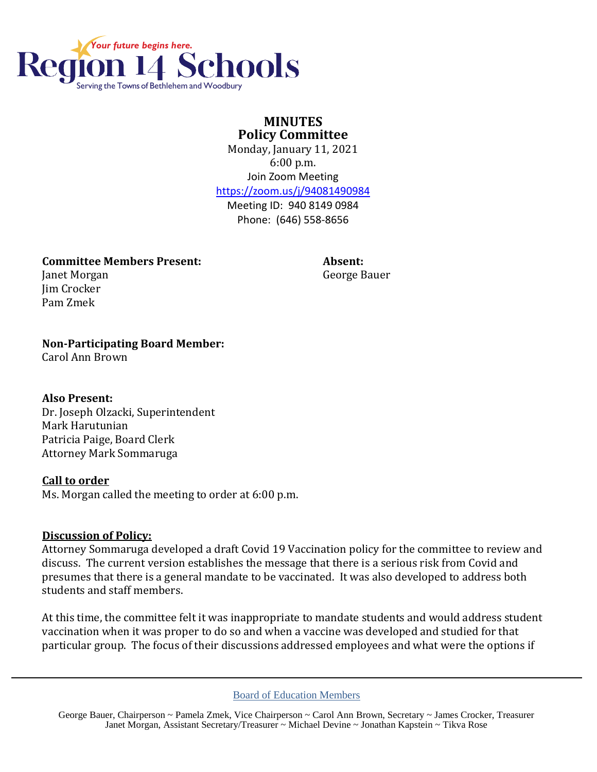

# **MINUTES Policy Committee**

Monday, January 11, 2021 6:00 p.m. Join Zoom Meeting <https://zoom.us/j/94081490984>

Meeting ID: 940 8149 0984 Phone: (646) 558-8656

**Committee Members Present: Absent:** Janet Morgan George Bauer

## **Non-Participating Board Member:**

Carol Ann Brown

Jim Crocker Pam Zmek

### **Also Present:**

Dr. Joseph Olzacki, Superintendent Mark Harutunian Patricia Paige, Board Clerk Attorney Mark Sommaruga

### **Call to order**

Ms. Morgan called the meeting to order at 6:00 p.m.

### **Discussion of Policy:**

Attorney Sommaruga developed a draft Covid 19 Vaccination policy for the committee to review and discuss. The current version establishes the message that there is a serious risk from Covid and presumes that there is a general mandate to be vaccinated. It was also developed to address both students and staff members.

At this time, the committee felt it was inappropriate to mandate students and would address student vaccination when it was proper to do so and when a vaccine was developed and studied for that particular group. The focus of their discussions addressed employees and what were the options if

Board of Education Members

George Bauer, Chairperson ~ Pamela Zmek, Vice Chairperson ~ Carol Ann Brown, Secretary ~ James Crocker, Treasurer Janet Morgan, Assistant Secretary/Treasurer ~ Michael Devine ~ Jonathan Kapstein ~ Tikva Rose